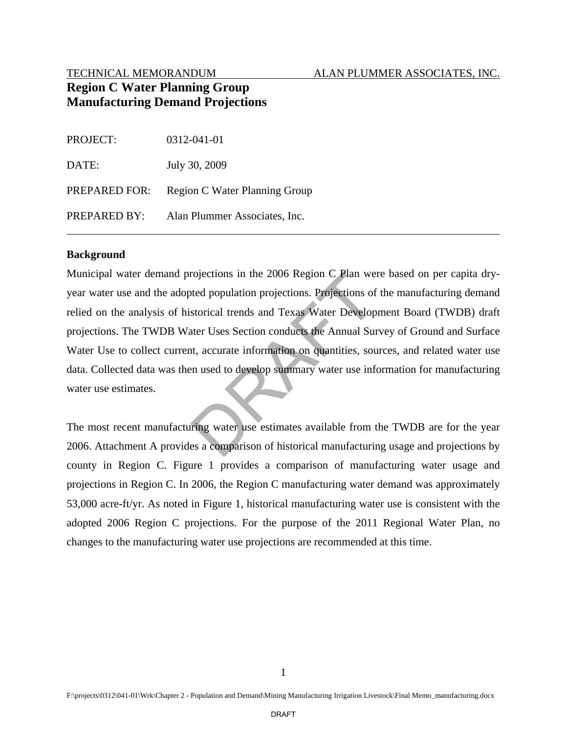#### TECHNICAL MEMORANDUM ALAN PLUMMER ASSOCIATES, INC.

# **Region C Water Planning Group Manufacturing Demand Projections**

| <b>PROJECT:</b> | 0312-041-01                   |
|-----------------|-------------------------------|
| DATE:           | July 30, 2009                 |
| PREPARED FOR:   | Region C Water Planning Group |
| PREPARED BY:    | Alan Plummer Associates, Inc. |

#### **Background**

Municipal water demand projections in the 2006 Region C Plan were based on per capita dryyear water use and the adopted population projections. Projections of the manufacturing demand relied on the analysis of historical trends and Texas Water Development Board (TWDB) draft projections. The TWDB Water Uses Section conducts the Annual Survey of Ground and Surface Water Use to collect current, accurate information on quantities, sources, and related water use data. Collected data was then used to develop summary water use information for manufacturing water use estimates. rojections in the 2006 Region C Plan we<br>ted population projections. Projections of<br>storical trends and Texas Water Develop<br>ter Uses Section conducts the Annual Sun<br>t, accurate information on quantities, sou<br>n used to devel

The most recent manufacturing water use estimates available from the TWDB are for the year 2006. Attachment A provides a comparison of historical manufacturing usage and projections by county in Region C. Figure 1 provides a comparison of manufacturing water usage and projections in Region C. In 2006, the Region C manufacturing water demand was approximately 53,000 acre-ft/yr. As noted in Figure 1, historical manufacturing water use is consistent with the adopted 2006 Region C projections. For the purpose of the 2011 Regional Water Plan, no changes to the manufacturing water use projections are recommended at this time.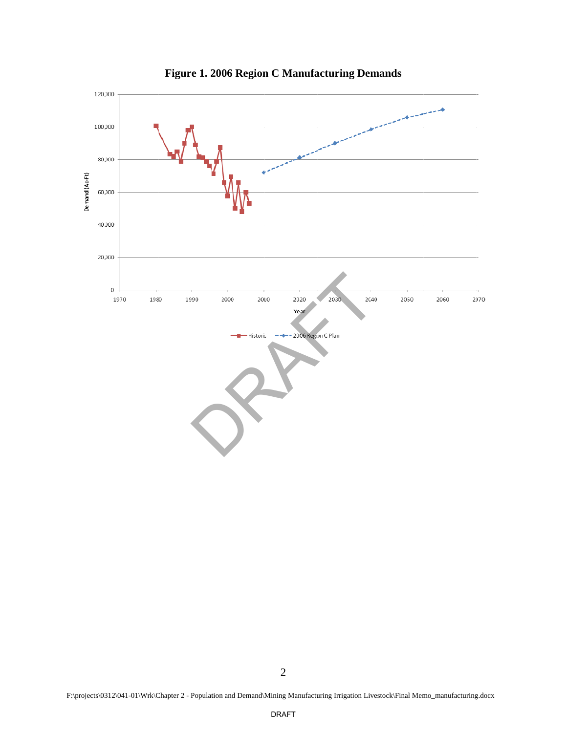

Figure 1. 2006 Region C Manufacturing Demands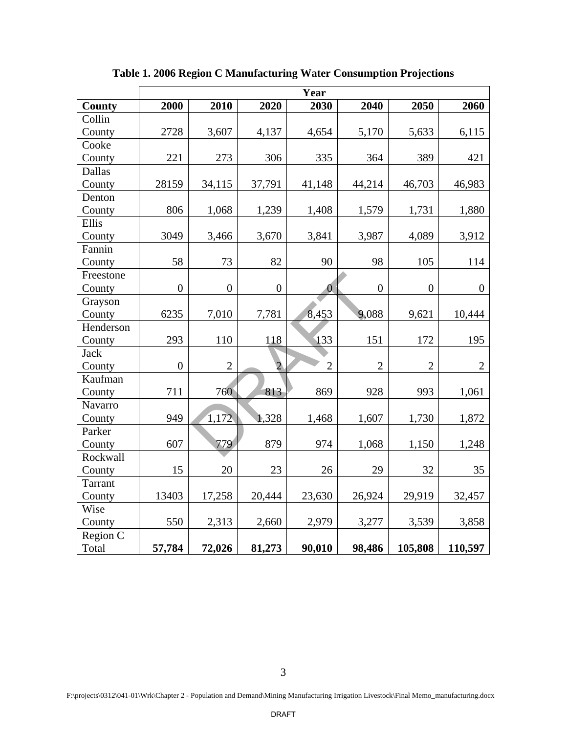|               | Year           |                |                  |                |                |                  |                |  |  |
|---------------|----------------|----------------|------------------|----------------|----------------|------------------|----------------|--|--|
| <b>County</b> | 2000           | 2010           | 2020             | 2030           | 2040           | 2050             | 2060           |  |  |
| Collin        |                |                |                  |                |                |                  |                |  |  |
| County        | 2728           | 3,607          | 4,137            | 4,654          | 5,170          | 5,633            | 6,115          |  |  |
| Cooke         |                |                |                  |                |                |                  |                |  |  |
| County        | 221            | 273            | 306              | 335            | 364            | 389              | 421            |  |  |
| Dallas        |                |                |                  |                |                |                  |                |  |  |
| County        | 28159          | 34,115         | 37,791           | 41,148         | 44,214         | 46,703           | 46,983         |  |  |
| Denton        |                |                |                  |                |                |                  |                |  |  |
| County        | 806            | 1,068          | 1,239            | 1,408          | 1,579          | 1,731            | 1,880          |  |  |
| Ellis         |                |                |                  |                |                |                  |                |  |  |
| County        | 3049           | 3,466          | 3,670            | 3,841          | 3,987          | 4,089            | 3,912          |  |  |
| Fannin        |                |                |                  |                |                |                  |                |  |  |
| County        | 58             | 73             | 82               | 90             | 98             | 105              | 114            |  |  |
| Freestone     |                |                |                  |                |                |                  |                |  |  |
| County        | $\overline{0}$ | $\overline{0}$ | $\boldsymbol{0}$ | $\mathbf{0}$   | $\overline{0}$ | $\boldsymbol{0}$ | $\overline{0}$ |  |  |
| Grayson       |                |                |                  |                |                |                  |                |  |  |
| County        | 6235           | 7,010          | 7,781            | 8,453          | 9,088          | 9,621            | 10,444         |  |  |
| Henderson     |                |                |                  |                |                |                  |                |  |  |
| County        | 293            | 110            | 118              | 133            | 151            | 172              | 195            |  |  |
| <b>Jack</b>   |                |                |                  |                |                |                  |                |  |  |
| County        | $\overline{0}$ | $\overline{2}$ | $\overline{2}$   | $\overline{2}$ | $\overline{2}$ | $\overline{2}$   | $\overline{2}$ |  |  |
| Kaufman       |                |                |                  |                |                |                  |                |  |  |
| County        | 711            | 760            | 813              | 869            | 928            | 993              | 1,061          |  |  |
| Navarro       |                |                |                  |                |                |                  |                |  |  |
| County        | 949            | 1,172          | 1,328            | 1,468          | 1,607          | 1,730            | 1,872          |  |  |
| Parker        |                |                |                  |                |                |                  |                |  |  |
| County        | 607            | 779            | 879              | 974            | 1,068          | 1,150            | 1,248          |  |  |
| Rockwall      |                |                |                  |                |                |                  |                |  |  |
| County        | 15             | 20             | 23               | 26             | 29             | 32               | 35             |  |  |
| Tarrant       |                |                |                  |                |                |                  |                |  |  |
| County        | 13403          | 17,258         | 20,444           | 23,630         | 26,924         | 29,919           | 32,457         |  |  |
| Wise          |                |                |                  |                |                |                  |                |  |  |
| County        | 550            | 2,313          | 2,660            | 2,979          | 3,277          | 3,539            | 3,858          |  |  |
| Region C      |                |                |                  |                |                |                  |                |  |  |
| Total         | 57,784         | 72,026         | 81,273           | 90,010         | 98,486         | 105,808          | 110,597        |  |  |

**Table 1. 2006 Region C Manufacturing Water Consumption Projections**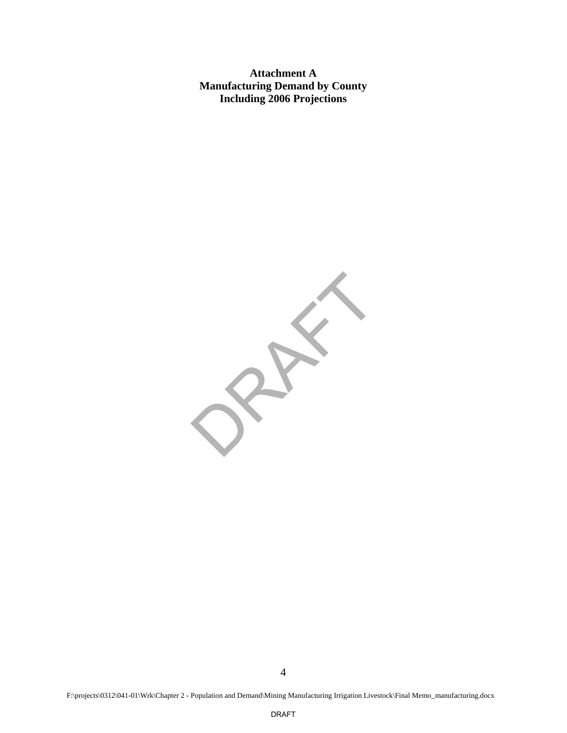**Attachment A Manufacturing Demand by County Including 2006 Projections** 

PRAIL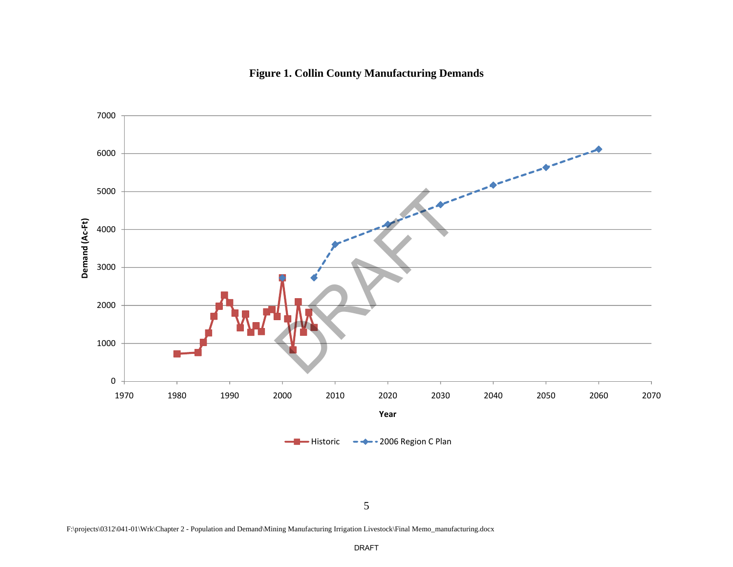

**Figure 1. Collin County Manufacturing Demands** 

F:\projects\0312\041-01\Wrk\Chapter 2 - Population and Demand\Mining Manufacturing Irrigation Livestock\Final Memo\_manufacturing.docx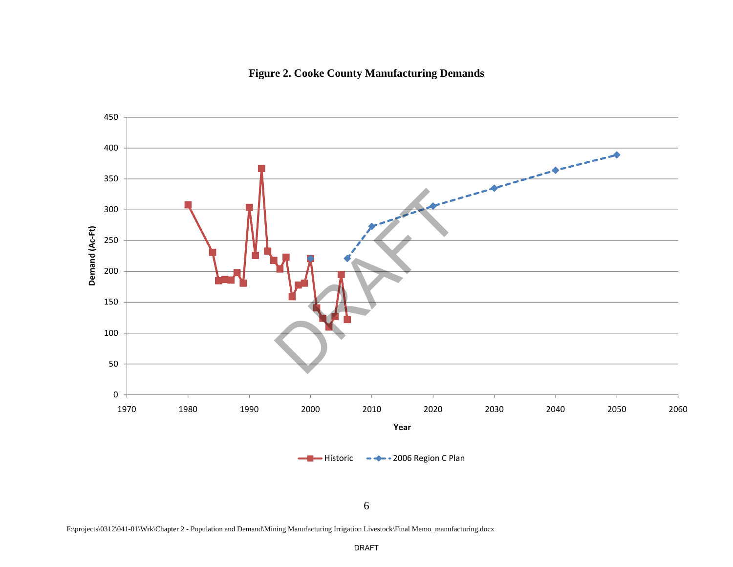



F:\projects\0312\041-01\Wrk\Chapter 2 - Population and Demand\Mining Manufacturing Irrigation Livestock\Final Memo\_manufacturing.docx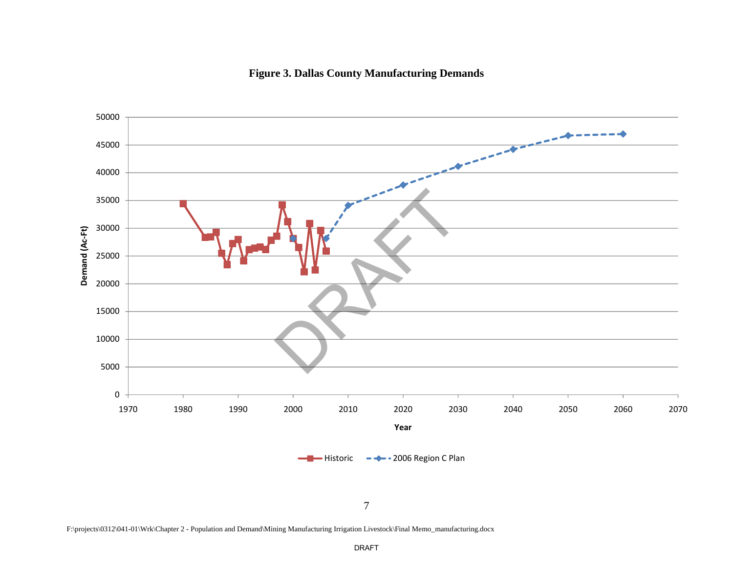

#### **Figure 3. Dallas County Manufacturing Demands**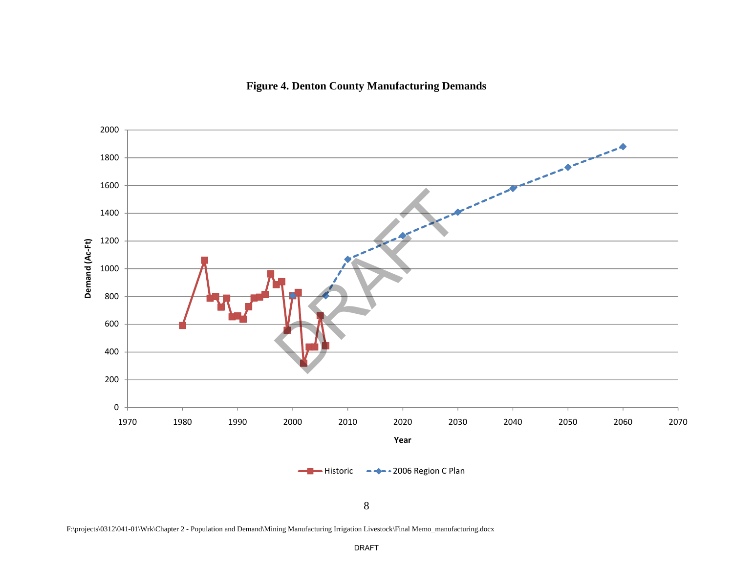**Figure 4. Denton County Manufacturing Demands**



F:\projects\0312\041-01\Wrk\Chapter 2 - Population and Demand\Mining Manufacturing Irrigation Livestock\Final Memo\_manufacturing.docx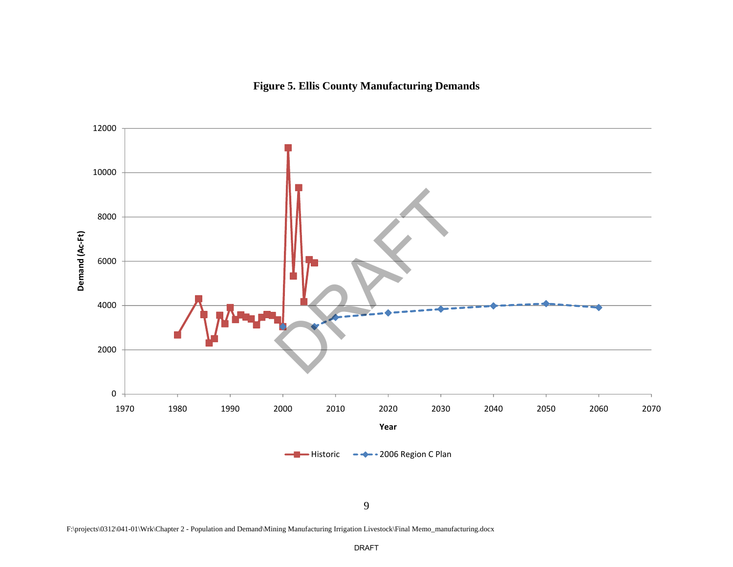# **Figure 5. Ellis County Manufacturing Demands**



9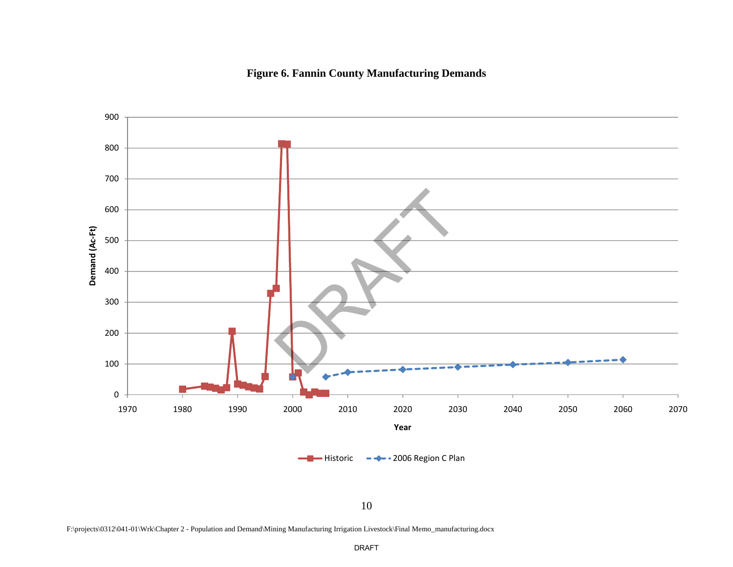# **Figure 6. Fannin County Manufacturing Demands**



F:\projects\0312\041-01\Wrk\Chapter 2 - Population and Demand\Mining Manufacturing Irrigation Livestock\Final Memo\_manufacturing.docx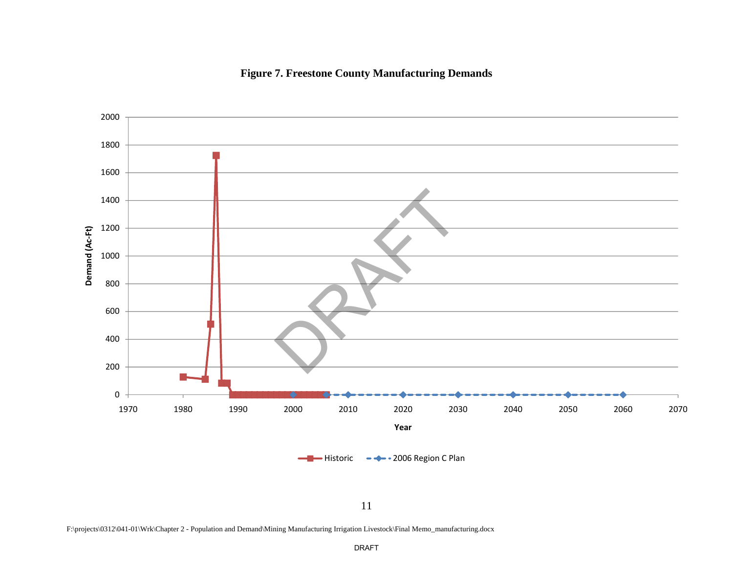# **Figure 7. Freestone County Manufacturing Demands**



F:\projects\0312\041-01\Wrk\Chapter 2 - Population and Demand\Mining Manufacturing Irrigation Livestock\Final Memo\_manufacturing.docx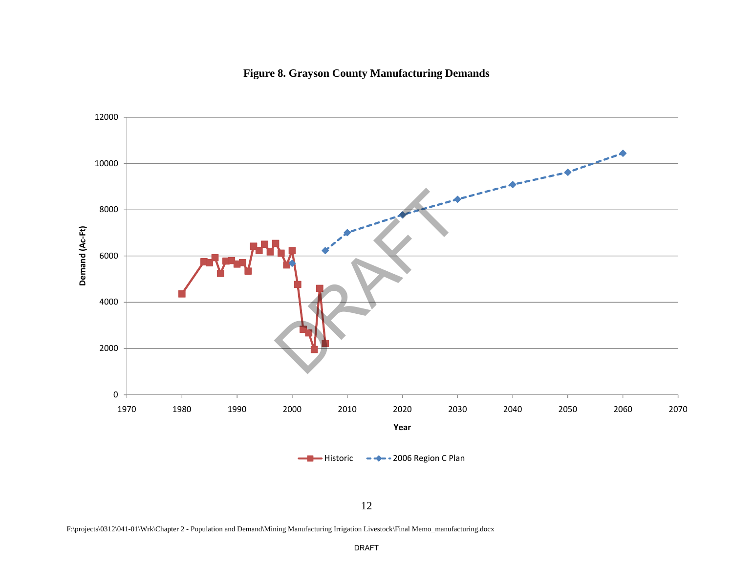**Figure 8. Grayson County Manufacturing Demands** 



12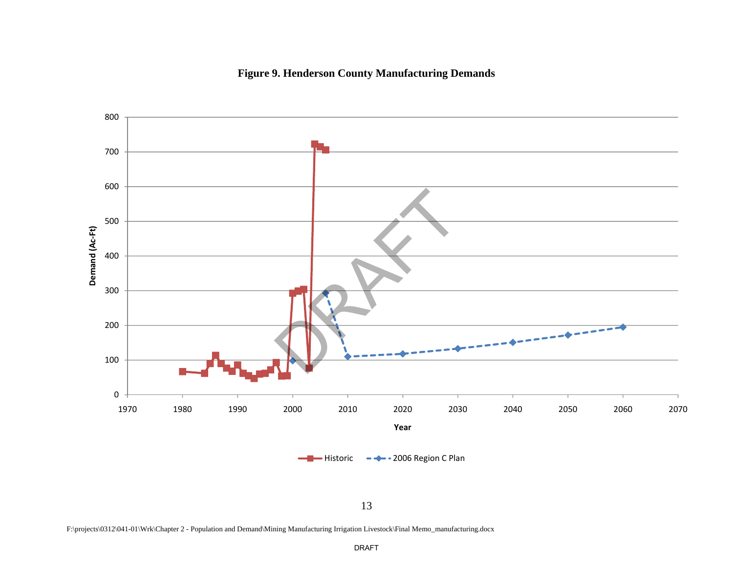



F:\projects\0312\041-01\Wrk\Chapter 2 - Population and Demand\Mining Manufacturing Irrigation Livestock\Final Memo\_manufacturing.docx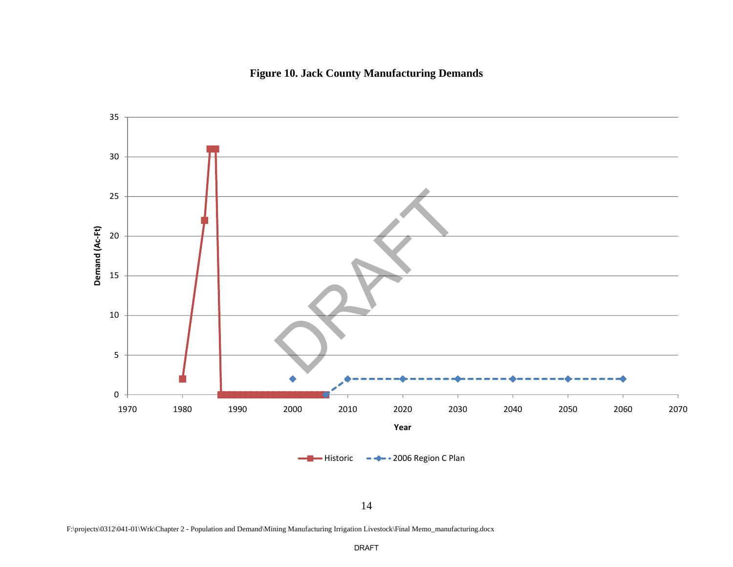# **Figure 10. Jack County Manufacturing Demands**



F:\projects\0312\041-01\Wrk\Chapter 2 - Population and Demand\Mining Manufacturing Irrigation Livestock\Final Memo\_manufacturing.docx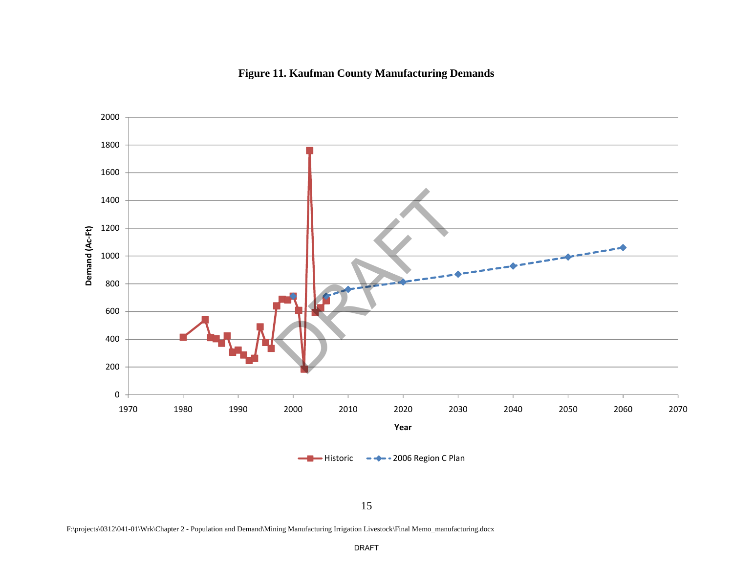



F:\projects\0312\041-01\Wrk\Chapter 2 - Population and Demand\Mining Manufacturing Irrigation Livestock\Final Memo\_manufacturing.docx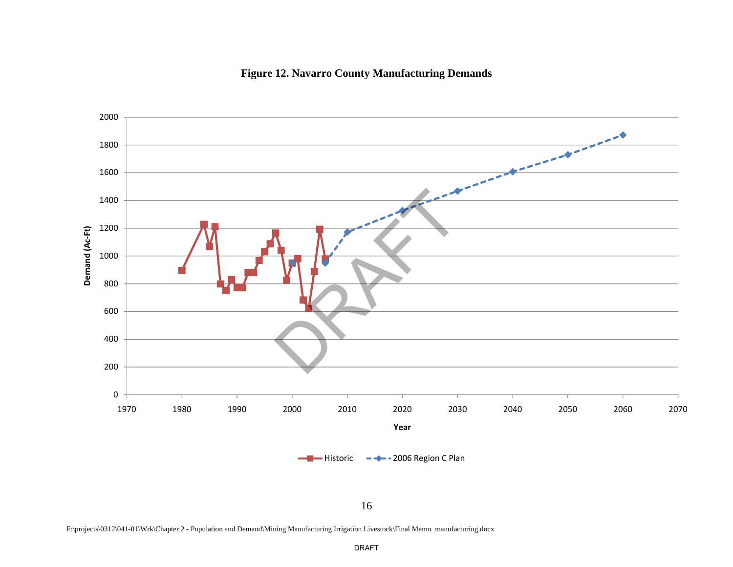



16

F:\projects\0312\041-01\Wrk\Chapter 2 - Population and Demand\Mining Manufacturing Irrigation Livestock\Final Memo\_manufacturing.docx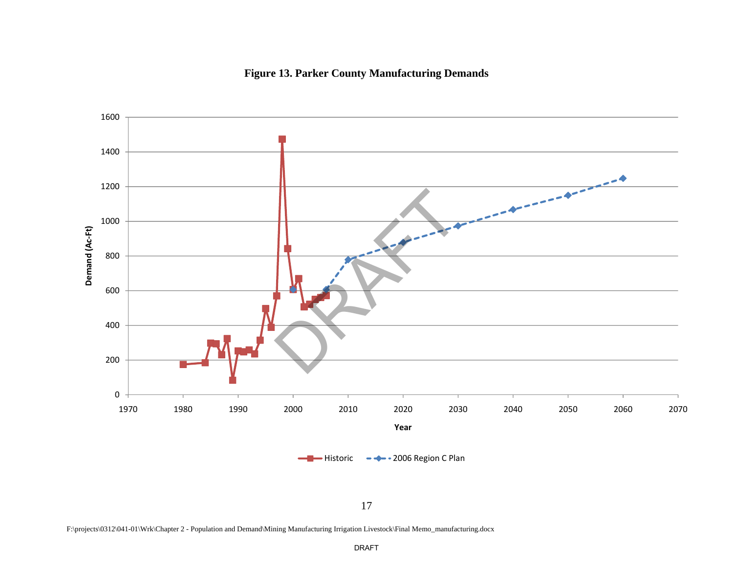



F:\projects\0312\041-01\Wrk\Chapter 2 - Population and Demand\Mining Manufacturing Irrigation Livestock\Final Memo\_manufacturing.docx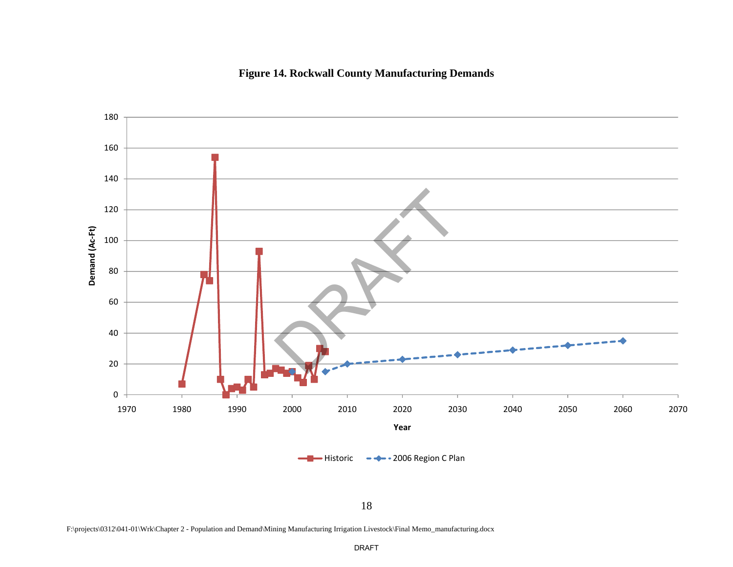



F:\projects\0312\041-01\Wrk\Chapter 2 - Population and Demand\Mining Manufacturing Irrigation Livestock\Final Memo\_manufacturing.docx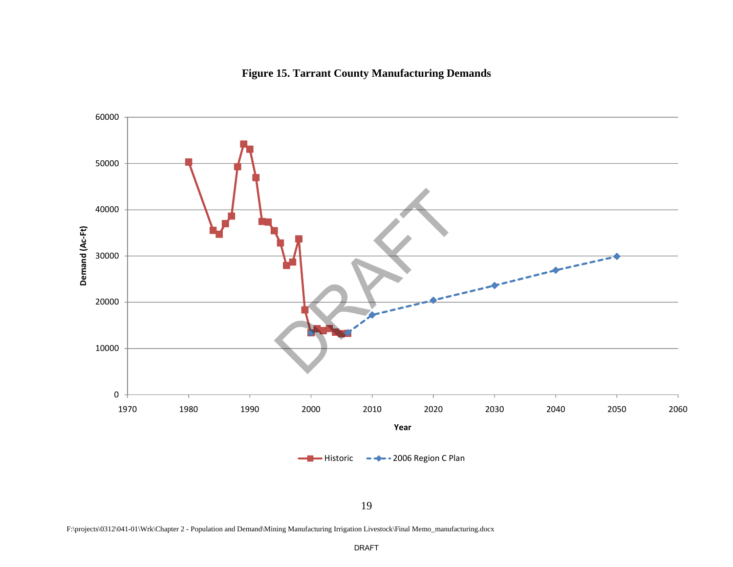#### **Figure 15. Tarrant County Manufacturing Demands**



F:\projects\0312\041-01\Wrk\Chapter 2 - Population and Demand\Mining Manufacturing Irrigation Livestock\Final Memo\_manufacturing.docx